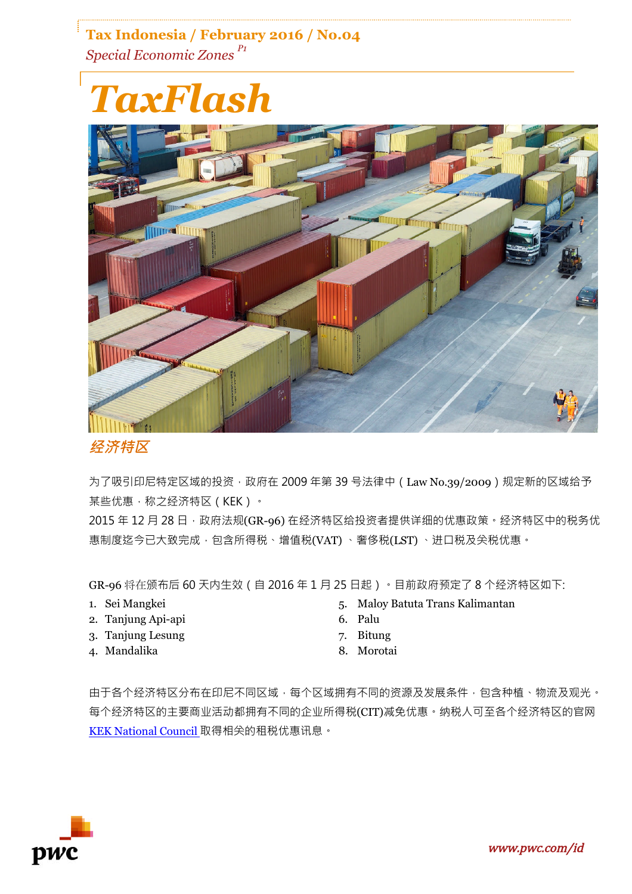## **Tax Indonesia / February 2016 / No.04** *Special Economic Zones P1*

# *TaxFlash*



## **经济特区**

为了吸引印尼特定区域的投资,政府在 2009 年第 39 号法律中 (Law No.39/2009)规定新的区域给予 某些优惠,称之经济特区(KEK)。

2015 年 12 月 28 日, 政府法规(GR-96) 在经济特区给投资者提供详细的优惠政策。经济特区中的税务优 惠制度迄今已大致完成,包含所得税、增值税(VAT)、奢侈税(LST)、进口税及关税优惠。

GR-96 将在颁布后 60 天内生效(自 2016 年 1 月 25 日起)。目前政府预定了 8 个经济特区如下:

- 1. Sei Mangkei
- 2. Tanjung Api-api
- 3. Tanjung Lesung
- 4. Mandalika
- 5. Maloy Batuta Trans Kalimantan
- 6. Palu
- 7. Bitung
- 8. Morotai

由于各个经济特区分布在印尼不同区域,每个区域拥有不同的资源及发展条件,包含种植、物流及观光。 每个经济特区的主要商业活动都拥有不同的企业所得税(CIT)减免优惠。纳税人可至各个经济特区的官网 KEK National Council 取得相关的租税优惠讯息。

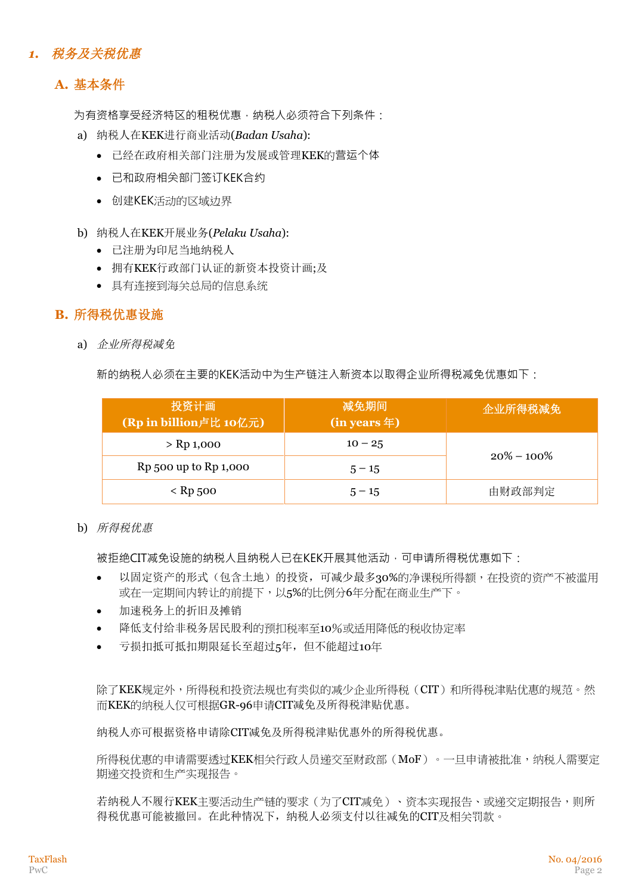## *1.* 税务及关税优惠

## **A.** 基本条件

为有资格享受经济特区的租税优惠, 纳税人必须符合下列条件:

- a) 纳税人在KEK进行商业活动(*Badan Usaha*):
	- 已经在政府相关部门注册为发展或管理KEK的营运个体
	- 已和政府相关部门签订KEK合约
	- 创建KEK活动的区域边界
- b) 纳税人在KEK开展业务(*Pelaku Usaha*):
	- 已注册为印尼当地纳税人
	- 拥有KEK行政部门认证的新资本投资计画;及
	- 具有连接到海关总局的信息系统

### **B.** 所得税优惠设施

a) 企业所得税减免

新的纳税人必须在主要的KEK活动中为生产链注入新资本以取得企业所得税减免优惠如下:

| 投资计画<br>(Rp in billion卢比 10亿元) | 减免期间<br>$(in years \pm)$ | 企业所得税减免        |
|--------------------------------|--------------------------|----------------|
| $>$ Rp 1,000                   | $10 - 25$                | $20\% - 100\%$ |
| Rp 500 up to Rp 1,000          | $5 - 15$                 |                |
| $<$ Rp 500                     | $5 - 15$                 | 由财政部判定         |

b) 所得税优惠

被拒绝CIT减免设施的纳税人且纳税人已在KEK开展其他活动,可申请所得税优惠如下:

- 以固定资产的形式(包含土地)的投资,可减少最多30%的净课税所得额,在投资的资产不被滥用 或在一定期间内转让的前提下,以5%的比例分6年分配在商业生产下。
- 加速税务上的折旧及摊销
- 降低支付给非税务居民股利的预扣税率至10%或适用降低的税收协定率
- 亏损扣抵可抵扣期限延长至超过5年,但不能超过10年

除了KEK规定外,所得税和投资法规也有类似的减少企业所得税(CIT)和所得税津贴优惠的规范。然 而KEK的纳税人仅可根据GR-96申请CIT减免及所得税津贴优惠。

纳税人亦可根据资格申请除CIT减免及所得税津贴优惠外的所得税优惠。

所得税优惠的申请需要透过KEK相关行政人员递交至财政部(MoF)。一旦申请被批准,纳税人需要定 期递交投资和生产实现报告。

若纳税人不履行KEK主要活动生产链的要求(为了CIT减免)、资本实现报告、或递交定期报告,则所 得税优惠可能被撤回。在此种情况下,纳税人必须支付以往减免的CIT及相关罚款。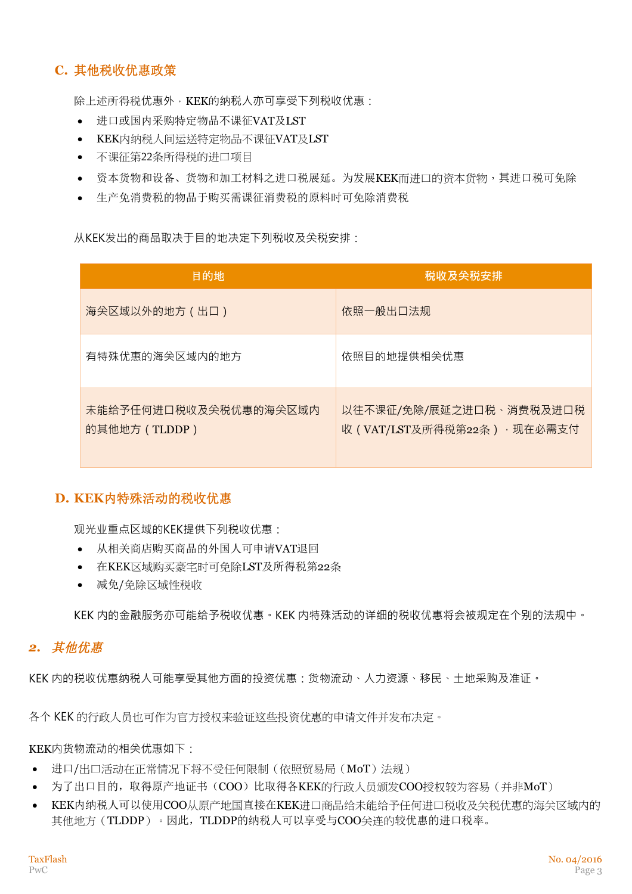## **C.** 其他税收优惠政策

除上述所得税优惠外, KEK的纳税人亦可享受下列税收优惠:

- 进口或国内采购特定物品不课征VAT及LST
- KEK内纳税人间运送特定物品不课征VAT及LST
- 不课征第22条所得税的进口项目
- 资本货物和设备、货物和加工材料之进口税展延。为发展KEK而进口的资本货物,其进口税可免除
- 生产免消费税的物品于购买需课征消费税的原料时可免除消费税

从KEK发出的商品取决于目的地决定下列税收及关税安排:

| 目的地                                    | 税收及关税安排                                                 |
|----------------------------------------|---------------------------------------------------------|
| 海关区域以外的地方 (出口)                         | 依照一般出口法规                                                |
| 有特殊优惠的海尖区域内的地方                         | 依照目的地提供相关优惠                                             |
| 未能给予任何进口税收及关税优惠的海关区域内<br>的其他地方 (TLDDP) | 以往不课征/免除/展延之进口税、消费税及进口税<br>收 (VAT/LST及所得税第22条) · 现在必需支付 |

#### **D. KEK**内特殊活动的税收优惠

**Contract Contract** 

观光业重点区域的KEK提供下列税收优惠:

- 从相关商店购买商品的外国人可申请VAT退回
- 在KEK区域购买豪宅时可免除LST及所得税第22条
- 减免/免除区域性税收

KEK 内的金融服务亦可能给予税收优惠。KEK 内特殊活动的详细的税收优惠将会被规定在个别的法规中。

#### *2.* 其他优惠

KEK 内的税收优惠纳税人可能享受其他方面的投资优惠:货物流动、人力资源、移民、土地采购及准证。

各个 KEK 的行政人员也可作为官方授权来验证这些投资优惠的申请文件并发布决定。

#### KEK内货物流动的相关优惠如下:

- 进口/出口活动在正常情况下将不受任何限制(依照贸易局(MoT)法规)
- 为了出口目的,取得原产地证书(COO)比取得各KEK的行政人员颁发COO授权较为容易(并非MoT)
- KEK内纳税人可以使用COO从原产地国直接在KEK进口商品给未能给予任何进口税收及关税优惠的海关区域内的 其他地方(TLDDP)。因此, TLDDP的纳税人可以享受与COO关连的较优惠的进口税率。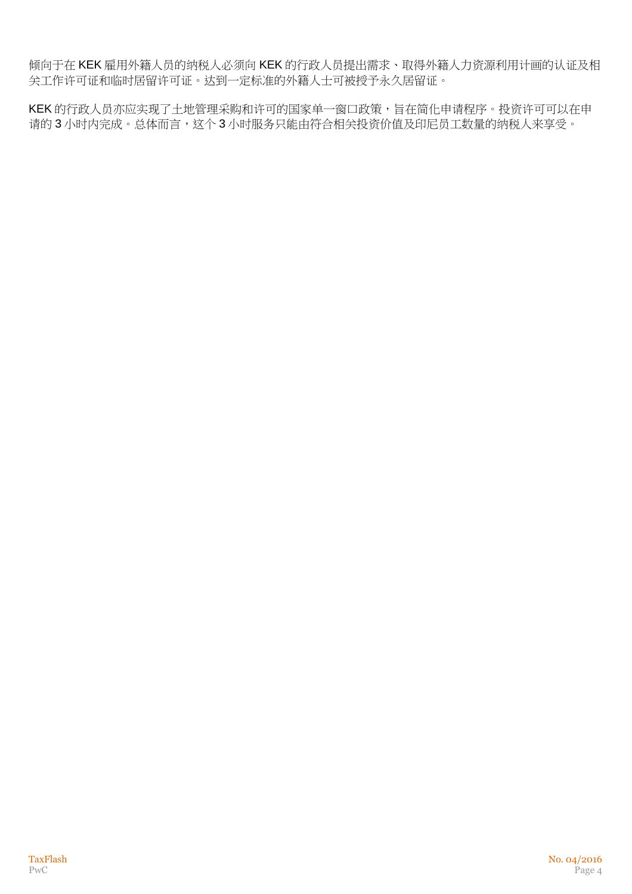倾向于在 KEK 雇用外籍人员的纳税人必须向 KEK 的行政人员提出需求、取得外籍人力资源利用计画的认证及相 关工作许可证和临时居留许可证。达到一定标准的外籍人士可被授予永久居留证。

KEK 的行政人员亦应实现了土地管理采购和许可的国家单一窗口政策,旨在简化申请程序。投资许可可以在申 请的 3 小时内完成。总体而言,这个 3 小时服务只能由符合相关投资价值及印尼员工数量的纳税人来享受。